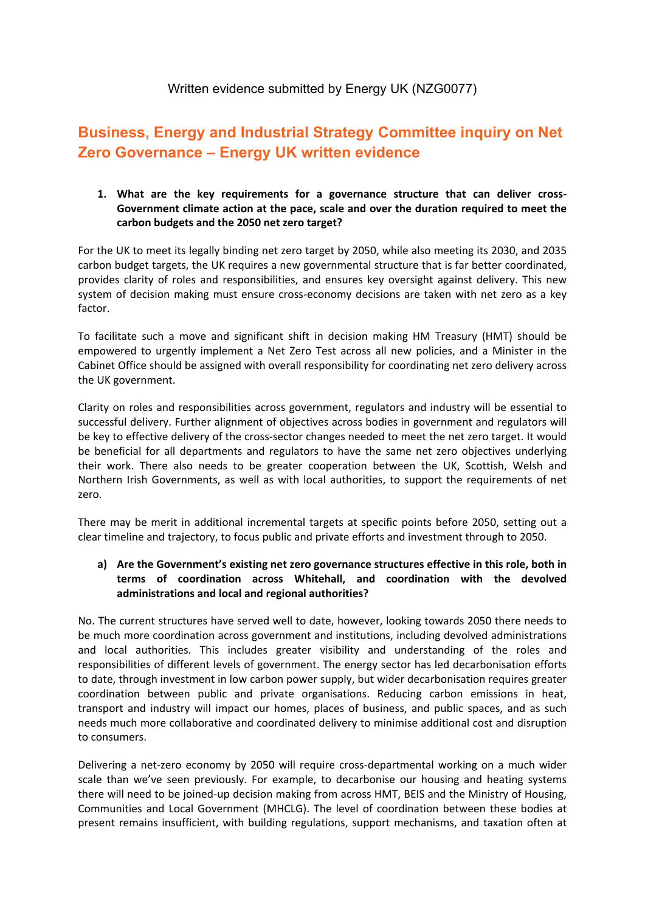# Written evidence submitted by Energy UK (NZG0077)

# **Business, Energy and Industrial Strategy Committee inquiry on Net Zero Governance – Energy UK written evidence**

**1. What are the key requirements for a governance structure that can deliver cross-Government climate action at the pace, scale and over the duration required to meet the carbon budgets and the 2050 net zero target?**

For the UK to meet its legally binding net zero target by 2050, while also meeting its 2030, and 2035 carbon budget targets, the UK requires a new governmental structure that is far better coordinated, provides clarity of roles and responsibilities, and ensures key oversight against delivery. This new system of decision making must ensure cross-economy decisions are taken with net zero as a key factor.

To facilitate such a move and significant shift in decision making HM Treasury (HMT) should be empowered to urgently implement a Net Zero Test across all new policies, and a Minister in the Cabinet Office should be assigned with overall responsibility for coordinating net zero delivery across the UK government.

Clarity on roles and responsibilities across government, regulators and industry will be essential to successful delivery. Further alignment of objectives across bodies in government and regulators will be key to effective delivery of the cross-sector changes needed to meet the net zero target. It would be beneficial for all departments and regulators to have the same net zero objectives underlying their work. There also needs to be greater cooperation between the UK, Scottish, Welsh and Northern Irish Governments, as well as with local authorities, to support the requirements of net zero.

There may be merit in additional incremental targets at specific points before 2050, setting out a clear timeline and trajectory, to focus public and private efforts and investment through to 2050.

#### **a) Are the Government's existing net zero governance structures effective in this role, both in terms of coordination across Whitehall, and coordination with the devolved administrations and local and regional authorities?**

No. The current structures have served well to date, however, looking towards 2050 there needs to be much more coordination across government and institutions, including devolved administrations and local authorities. This includes greater visibility and understanding of the roles and responsibilities of different levels of government. The energy sector has led decarbonisation efforts to date, through investment in low carbon power supply, but wider decarbonisation requires greater coordination between public and private organisations. Reducing carbon emissions in heat, transport and industry will impact our homes, places of business, and public spaces, and as such needs much more collaborative and coordinated delivery to minimise additional cost and disruption to consumers.

Delivering a net-zero economy by 2050 will require cross-departmental working on a much wider scale than we've seen previously. For example, to decarbonise our housing and heating systems there will need to be joined-up decision making from across HMT, BEIS and the Ministry of Housing, Communities and Local Government (MHCLG). The level of coordination between these bodies at present remains insufficient, with building regulations, support mechanisms, and taxation often at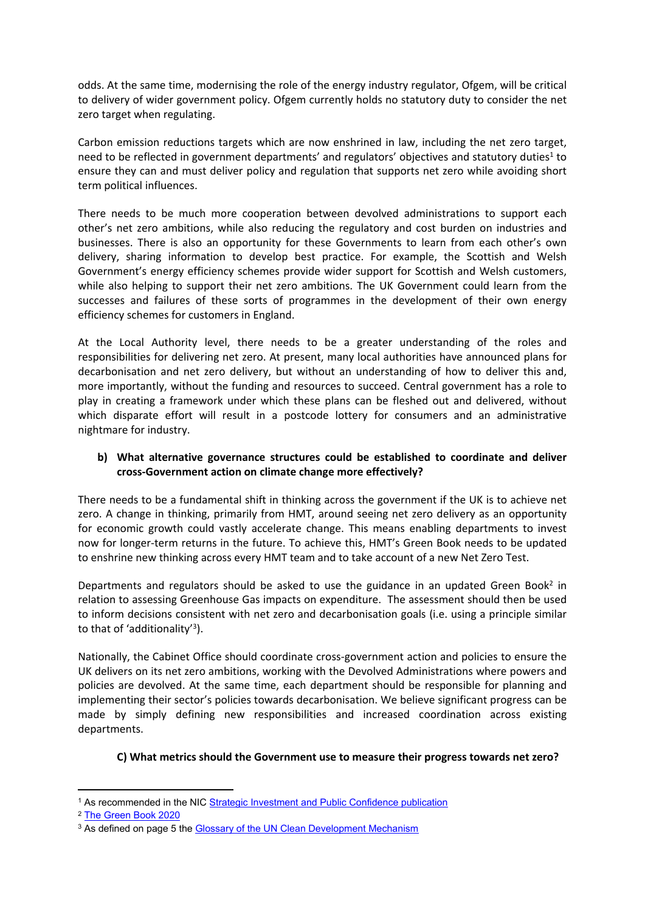odds. At the same time, modernising the role of the energy industry regulator, Ofgem, will be critical to delivery of wider government policy. Ofgem currently holds no statutory duty to consider the net zero target when regulating.

Carbon emission reductions targets which are now enshrined in law, including the net zero target, need to be reflected in government departments' and regulators' objectives and statutory duties<sup>1</sup> to ensure they can and must deliver policy and regulation that supports net zero while avoiding short term political influences.

There needs to be much more cooperation between devolved administrations to support each other's net zero ambitions, while also reducing the regulatory and cost burden on industries and businesses. There is also an opportunity for these Governments to learn from each other's own delivery, sharing information to develop best practice. For example, the Scottish and Welsh Government's energy efficiency schemes provide wider support for Scottish and Welsh customers, while also helping to support their net zero ambitions. The UK Government could learn from the successes and failures of these sorts of programmes in the development of their own energy efficiency schemes for customers in England.

At the Local Authority level, there needs to be a greater understanding of the roles and responsibilities for delivering net zero. At present, many local authorities have announced plans for decarbonisation and net zero delivery, but without an understanding of how to deliver this and, more importantly, without the funding and resources to succeed. Central government has a role to play in creating a framework under which these plans can be fleshed out and delivered, without which disparate effort will result in a postcode lottery for consumers and an administrative nightmare for industry.

### **b) What alternative governance structures could be established to coordinate and deliver cross-Government action on climate change more effectively?**

There needs to be a fundamental shift in thinking across the government if the UK is to achieve net zero. A change in thinking, primarily from HMT, around seeing net zero delivery as an opportunity for economic growth could vastly accelerate change. This means enabling departments to invest now for longer-term returns in the future. To achieve this, HMT's Green Book needs to be updated to enshrine new thinking across every HMT team and to take account of a new Net Zero Test.

Departments and regulators should be asked to use the guidance in an updated Green Book<sup>2</sup> in relation to assessing Greenhouse Gas impacts on expenditure. The assessment should then be used to inform decisions consistent with net zero and decarbonisation goals (i.e. using a principle similar to that of 'additionality'<sup>3</sup> ).

Nationally, the Cabinet Office should coordinate cross-government action and policies to ensure the UK delivers on its net zero ambitions, working with the Devolved Administrations where powers and policies are devolved. At the same time, each department should be responsible for planning and implementing their sector's policies towards decarbonisation. We believe significant progress can be made by simply defining new responsibilities and increased coordination across existing departments.

### **C) What metrics should the Government use to measure their progress towards net zero?**

<sup>1</sup> As recommended in the NIC [Strategic](https://nic.org.uk/app/uploads/NIC-Strategic-Investment-Public-Confidence-October-2019.pdf) [Investment](https://nic.org.uk/app/uploads/NIC-Strategic-Investment-Public-Confidence-October-2019.pdf) [and](https://nic.org.uk/app/uploads/NIC-Strategic-Investment-Public-Confidence-October-2019.pdf) [Public](https://nic.org.uk/app/uploads/NIC-Strategic-Investment-Public-Confidence-October-2019.pdf) [Confidence](https://nic.org.uk/app/uploads/NIC-Strategic-Investment-Public-Confidence-October-2019.pdf) [publication](https://nic.org.uk/app/uploads/NIC-Strategic-Investment-Public-Confidence-October-2019.pdf)

<sup>2</sup> [The](https://www.gov.uk/government/publications/the-green-book-appraisal-and-evaluation-in-central-governent/the-green-book-2020) [Green](https://www.gov.uk/government/publications/the-green-book-appraisal-and-evaluation-in-central-governent/the-green-book-2020) [Book](https://www.gov.uk/government/publications/the-green-book-appraisal-and-evaluation-in-central-governent/the-green-book-2020) [2020](https://www.gov.uk/government/publications/the-green-book-appraisal-and-evaluation-in-central-governent/the-green-book-2020)

<sup>&</sup>lt;sup>3</sup> As defined on page 5 the [Glossary](https://cdm.unfccc.int/Reference/Guidclarif/glos_CDM.pdf) [of](https://cdm.unfccc.int/Reference/Guidclarif/glos_CDM.pdf) [the](https://cdm.unfccc.int/Reference/Guidclarif/glos_CDM.pdf) [UN](https://cdm.unfccc.int/Reference/Guidclarif/glos_CDM.pdf) [Clean](https://cdm.unfccc.int/Reference/Guidclarif/glos_CDM.pdf) [Development](https://cdm.unfccc.int/Reference/Guidclarif/glos_CDM.pdf) [Mechanism](https://cdm.unfccc.int/Reference/Guidclarif/glos_CDM.pdf)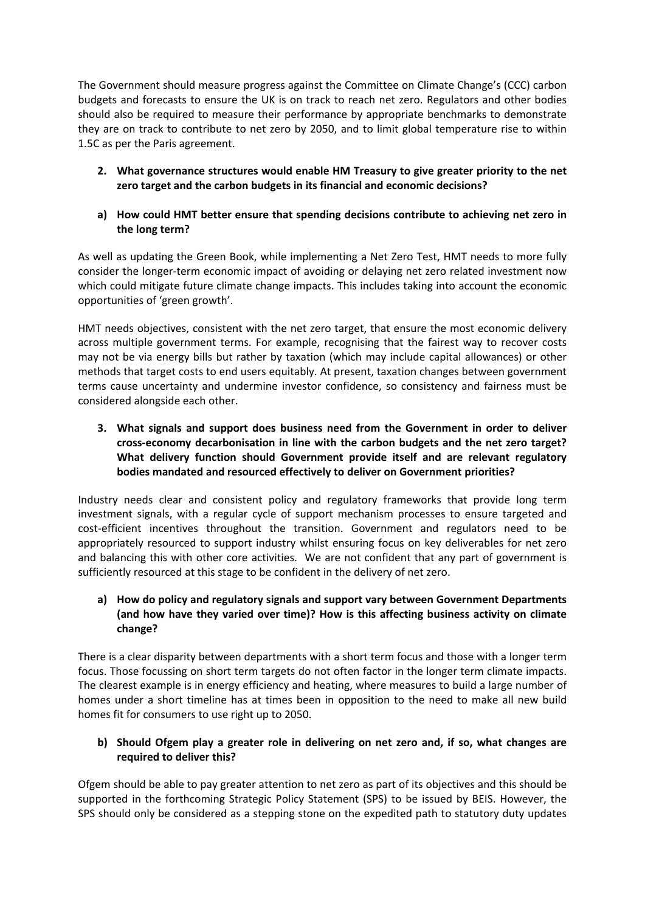The Government should measure progress against the Committee on Climate Change's (CCC) carbon budgets and forecasts to ensure the UK is on track to reach net zero. Regulators and other bodies should also be required to measure their performance by appropriate benchmarks to demonstrate they are on track to contribute to net zero by 2050, and to limit global temperature rise to within 1.5C as per the Paris agreement.

**2. What governance structures would enable HM Treasury to give greater priority to the net zero target and the carbon budgets in its financial and economic decisions?**

#### **a) How could HMT better ensure that spending decisions contribute to achieving net zero in the long term?**

As well as updating the Green Book, while implementing a Net Zero Test, HMT needs to more fully consider the longer-term economic impact of avoiding or delaying net zero related investment now which could mitigate future climate change impacts. This includes taking into account the economic opportunities of 'green growth'.

HMT needs objectives, consistent with the net zero target, that ensure the most economic delivery across multiple government terms. For example, recognising that the fairest way to recover costs may not be via energy bills but rather by taxation (which may include capital allowances) or other methods that target costs to end users equitably. At present, taxation changes between government terms cause uncertainty and undermine investor confidence, so consistency and fairness must be considered alongside each other.

**3. What signals and support does business need from the Government in order to deliver cross-economy decarbonisation in line with the carbon budgets and the net zero target? What delivery function should Government provide itself and are relevant regulatory bodies mandated and resourced effectively to deliver on Government priorities?**

Industry needs clear and consistent policy and regulatory frameworks that provide long term investment signals, with a regular cycle of support mechanism processes to ensure targeted and cost-efficient incentives throughout the transition. Government and regulators need to be appropriately resourced to support industry whilst ensuring focus on key deliverables for net zero and balancing this with other core activities. We are not confident that any part of government is sufficiently resourced at this stage to be confident in the delivery of net zero.

## **a) How do policy and regulatory signals and support vary between Government Departments (and how have they varied over time)? How is this affecting business activity on climate change?**

There is a clear disparity between departments with a short term focus and those with a longer term focus. Those focussing on short term targets do not often factor in the longer term climate impacts. The clearest example is in energy efficiency and heating, where measures to build a large number of homes under a short timeline has at times been in opposition to the need to make all new build homes fit for consumers to use right up to 2050.

### **b) Should Ofgem play a greater role in delivering on net zero and, if so, what changes are required to deliver this?**

Ofgem should be able to pay greater attention to net zero as part of its objectives and this should be supported in the forthcoming Strategic Policy Statement (SPS) to be issued by BEIS. However, the SPS should only be considered as a stepping stone on the expedited path to statutory duty updates